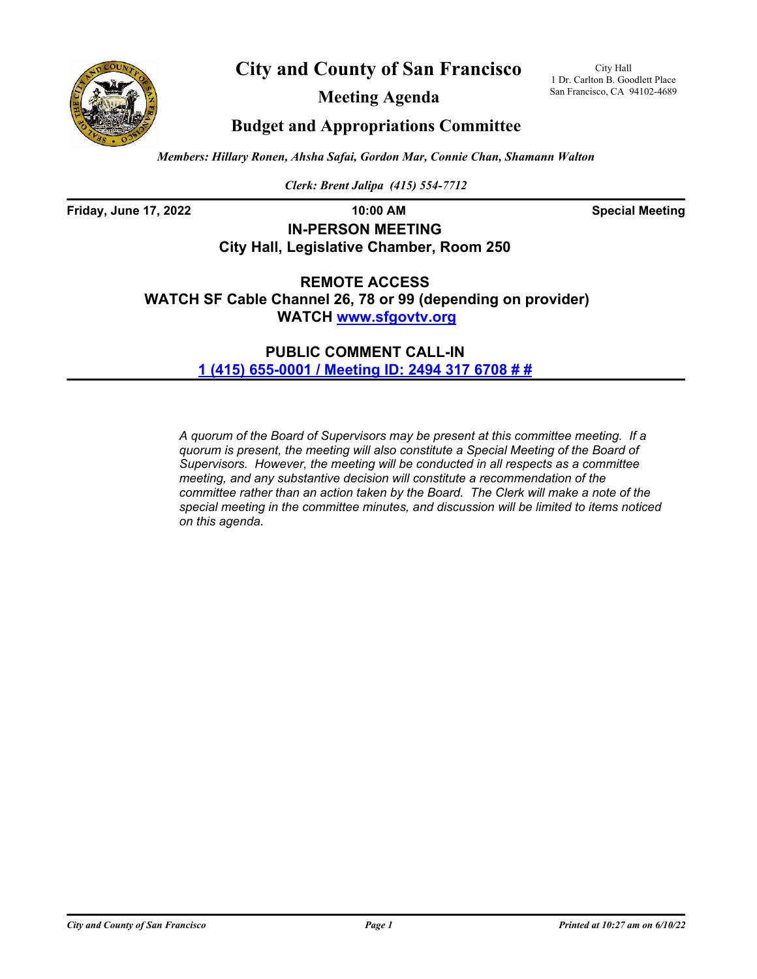



**Meeting Agenda**

City Hall 1 Dr. Carlton B. Goodlett Place San Francisco, CA 94102-4689

# **Budget and Appropriations Committee**

*Members: Hillary Ronen, Ahsha Safai, Gordon Mar, Connie Chan, Shamann Walton*

*Clerk: Brent Jalipa (415) 554-7712*

**Friday, June 17, 2022 10:00 AM Special Meeting**

# **IN-PERSON MEETING City Hall, Legislative Chamber, Room 250**

**REMOTE ACCESS WATCH SF Cable Channel 26, 78 or 99 (depending on provider) WATCH<www.sfgovtv.org>**

> **PUBLIC COMMENT CALL-IN [1 \(415\) 655-0001 / Meeting ID: 2494 317 6708 # #](tel:+14156550001,,24943176708#,,#)**

*A quorum of the Board of Supervisors may be present at this committee meeting. If a quorum is present, the meeting will also constitute a Special Meeting of the Board of Supervisors. However, the meeting will be conducted in all respects as a committee meeting, and any substantive decision will constitute a recommendation of the committee rather than an action taken by the Board. The Clerk will make a note of the special meeting in the committee minutes, and discussion will be limited to items noticed on this agenda.*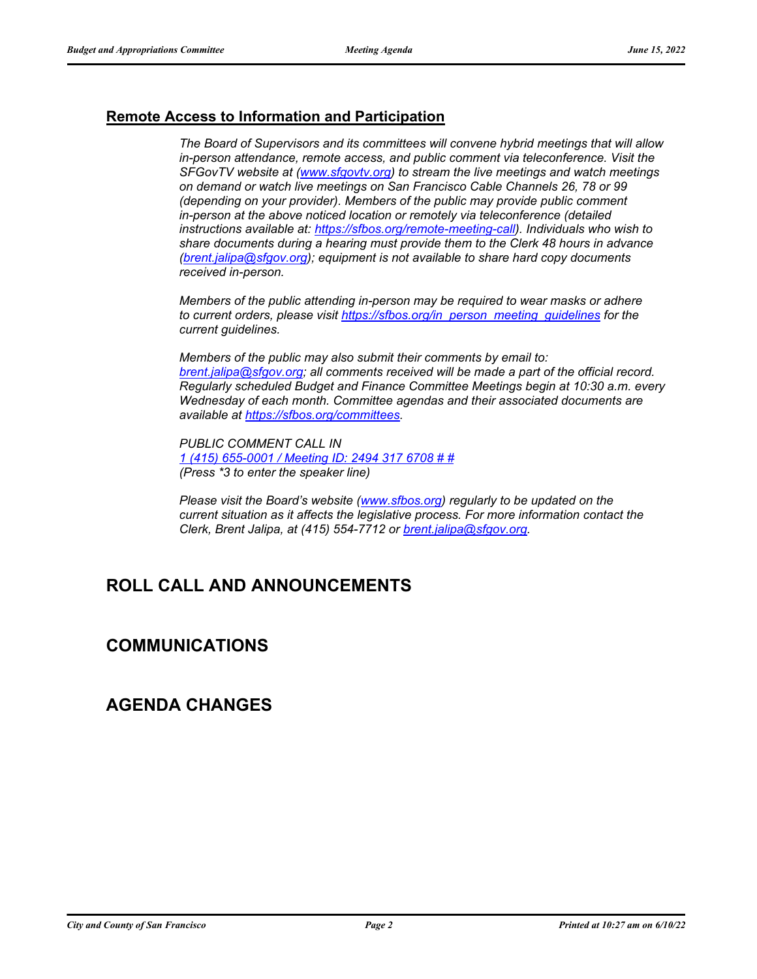## **Remote Access to Information and Participation**

*The Board of Supervisors and its committees will convene hybrid meetings that will allow in-person attendance, remote access, and public comment via teleconference. Visit the SFGovTV website at [\(www.sfgovtv.org\)](www.sfgovtv.org) to stream the live meetings and watch meetings on demand or watch live meetings on San Francisco Cable Channels 26, 78 or 99 (depending on your provider). Members of the public may provide public comment in-person at the above noticed location or remotely via teleconference (detailed instructions available at: [https://sfbos.org/remote-meeting-call\)](https://sfbos.org/remote-meeting-call). Individuals who wish to share documents during a hearing must provide them to the Clerk 48 hours in advance [\(brent.jalipa@sfgov.org\)](mailto:brent.jalipa@sfgov.org); equipment is not available to share hard copy documents received in-person.*

*Members of the public attending in-person may be required to wear masks or adhere to current orders, please visit [https://sfbos.org/in\\_person\\_meeting\\_guidelines](https://sfbos.org/in_person_meeting_guidelines) for the current guidelines.*

*Members of the public may also submit their comments by email to: [brent.jalipa@sfgov.org;](mailto:brent.jalipa@sfgov.org) all comments received will be made a part of the official record. Regularly scheduled Budget and Finance Committee Meetings begin at 10:30 a.m. every Wednesday of each month. Committee agendas and their associated documents are available at [https://sfbos.org/committees.](https://sfbos.org/committees)*

*PUBLIC COMMENT CALL IN [1 \(415\) 655-0001 / Meeting ID:](tel:+14156550001,,24943176708#,,#) 2494 317 6708 # # (Press \*3 to enter the speaker line)*

*Please visit the Board's website [\(www.sfbos.org\)](https://sfbos.org) regularly to be updated on the current situation as it affects the legislative process. For more information contact the Clerk, Brent Jalipa, at (415) 554-7712 or [brent.jalipa@sfgov.org.](mailto:brent.jalipa@sfgov.org)*

# **ROLL CALL AND ANNOUNCEMENTS**

## **COMMUNICATIONS**

## **AGENDA CHANGES**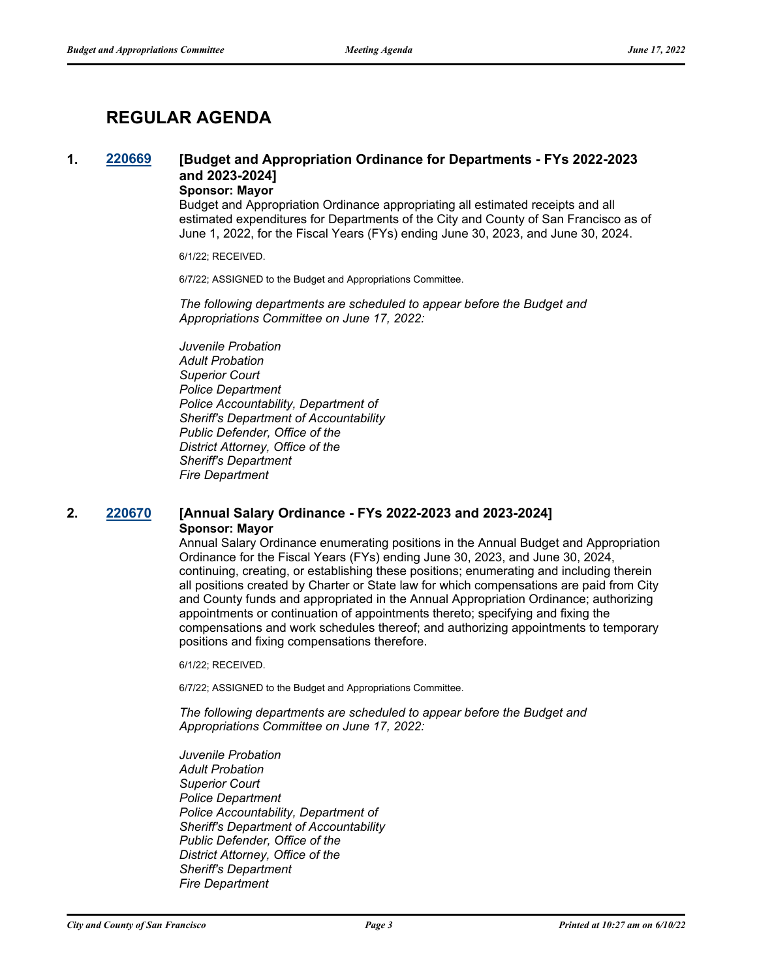# **REGULAR AGENDA**

## **1. [220669](http://sfgov.legistar.com/gateway.aspx?m=l&id=38861) [Budget and Appropriation Ordinance for Departments - FYs 2022-2023 and 2023-2024]**

## **Sponsor: Mayor**

Budget and Appropriation Ordinance appropriating all estimated receipts and all estimated expenditures for Departments of the City and County of San Francisco as of June 1, 2022, for the Fiscal Years (FYs) ending June 30, 2023, and June 30, 2024.

6/1/22; RECEIVED.

6/7/22; ASSIGNED to the Budget and Appropriations Committee.

*The following departments are scheduled to appear before the Budget and Appropriations Committee on June 17, 2022:*

*Juvenile Probation Adult Probation Superior Court Police Department Police Accountability, Department of Sheriff's Department of Accountability Public Defender, Office of the District Attorney, Office of the Sheriff's Department Fire Department*

#### **2. [220670](http://sfgov.legistar.com/gateway.aspx?m=l&id=38862) [Annual Salary Ordinance - FYs 2022-2023 and 2023-2024] Sponsor: Mayor**

Annual Salary Ordinance enumerating positions in the Annual Budget and Appropriation Ordinance for the Fiscal Years (FYs) ending June 30, 2023, and June 30, 2024, continuing, creating, or establishing these positions; enumerating and including therein all positions created by Charter or State law for which compensations are paid from City and County funds and appropriated in the Annual Appropriation Ordinance; authorizing appointments or continuation of appointments thereto; specifying and fixing the compensations and work schedules thereof; and authorizing appointments to temporary positions and fixing compensations therefore.

6/1/22; RECEIVED.

6/7/22; ASSIGNED to the Budget and Appropriations Committee.

*The following departments are scheduled to appear before the Budget and Appropriations Committee on June 17, 2022:*

*Juvenile Probation Adult Probation Superior Court Police Department Police Accountability, Department of Sheriff's Department of Accountability Public Defender, Office of the District Attorney, Office of the Sheriff's Department Fire Department*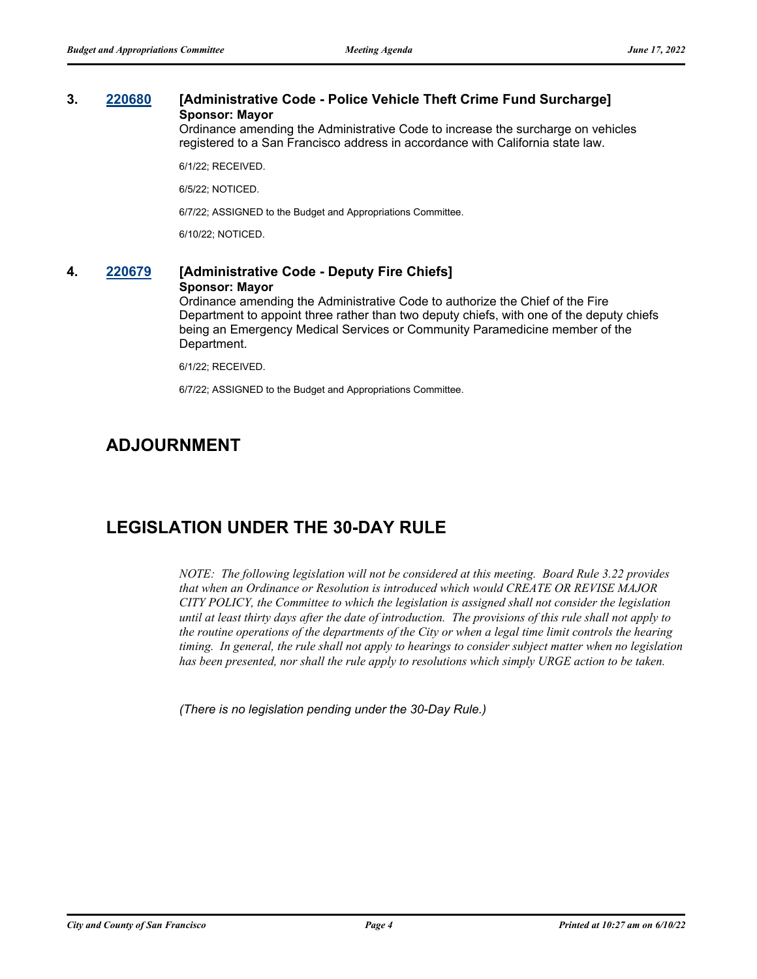## **3. [220680](http://sfgov.legistar.com/gateway.aspx?m=l&id=38872) [Administrative Code - Police Vehicle Theft Crime Fund Surcharge] Sponsor: Mayor**

Ordinance amending the Administrative Code to increase the surcharge on vehicles registered to a San Francisco address in accordance with California state law.

6/1/22; RECEIVED.

6/5/22; NOTICED.

6/7/22; ASSIGNED to the Budget and Appropriations Committee.

6/10/22; NOTICED.

## **4. [220679](http://sfgov.legistar.com/gateway.aspx?m=l&id=38871) [Administrative Code - Deputy Fire Chiefs] Sponsor: Mayor**

Ordinance amending the Administrative Code to authorize the Chief of the Fire Department to appoint three rather than two deputy chiefs, with one of the deputy chiefs being an Emergency Medical Services or Community Paramedicine member of the Department.

6/1/22; RECEIVED.

6/7/22; ASSIGNED to the Budget and Appropriations Committee.

# **ADJOURNMENT**

## **LEGISLATION UNDER THE 30-DAY RULE**

*NOTE: The following legislation will not be considered at this meeting. Board Rule 3.22 provides that when an Ordinance or Resolution is introduced which would CREATE OR REVISE MAJOR CITY POLICY, the Committee to which the legislation is assigned shall not consider the legislation until at least thirty days after the date of introduction. The provisions of this rule shall not apply to the routine operations of the departments of the City or when a legal time limit controls the hearing timing. In general, the rule shall not apply to hearings to consider subject matter when no legislation has been presented, nor shall the rule apply to resolutions which simply URGE action to be taken.*

*(There is no legislation pending under the 30-Day Rule.)*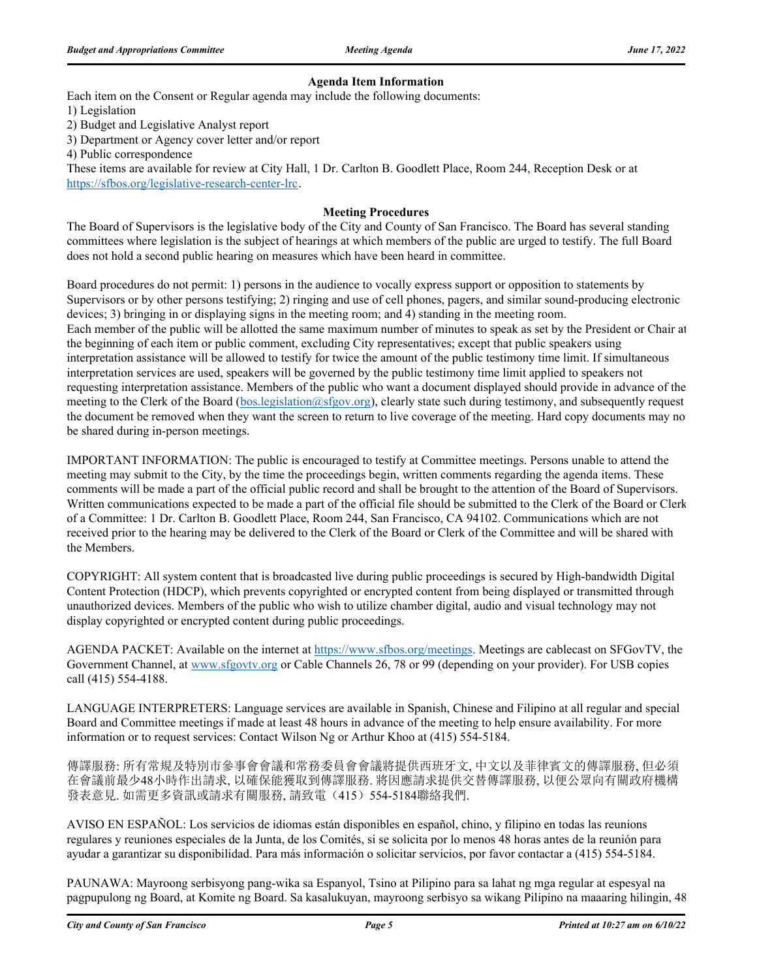#### **Agenda Item Information**

Each item on the Consent or Regular agenda may include the following documents:

1) Legislation

2) Budget and Legislative Analyst report

3) Department or Agency cover letter and/or report

4) Public correspondence

These items are available for review at City Hall, 1 Dr. Carlton B. Goodlett Place, Room 244, Reception Desk or at https://sfbos.org/legislative-research-center-lrc.

#### **Meeting Procedures**

The Board of Supervisors is the legislative body of the City and County of San Francisco. The Board has several standing committees where legislation is the subject of hearings at which members of the public are urged to testify. The full Board does not hold a second public hearing on measures which have been heard in committee.

Board procedures do not permit: 1) persons in the audience to vocally express support or opposition to statements by Supervisors or by other persons testifying; 2) ringing and use of cell phones, pagers, and similar sound-producing electronic devices; 3) bringing in or displaying signs in the meeting room; and 4) standing in the meeting room. Each member of the public will be allotted the same maximum number of minutes to speak as set by the President or Chair at the beginning of each item or public comment, excluding City representatives; except that public speakers using interpretation assistance will be allowed to testify for twice the amount of the public testimony time limit. If simultaneous interpretation services are used, speakers will be governed by the public testimony time limit applied to speakers not requesting interpretation assistance. Members of the public who want a document displayed should provide in advance of the meeting to the Clerk of the Board (bos.legislation@sfgov.org), clearly state such during testimony, and subsequently request the document be removed when they want the screen to return to live coverage of the meeting. Hard copy documents may no be shared during in-person meetings.

IMPORTANT INFORMATION: The public is encouraged to testify at Committee meetings. Persons unable to attend the meeting may submit to the City, by the time the proceedings begin, written comments regarding the agenda items. These comments will be made a part of the official public record and shall be brought to the attention of the Board of Supervisors. Written communications expected to be made a part of the official file should be submitted to the Clerk of the Board or Clerk of a Committee: 1 Dr. Carlton B. Goodlett Place, Room 244, San Francisco, CA 94102. Communications which are not received prior to the hearing may be delivered to the Clerk of the Board or Clerk of the Committee and will be shared with the Members.

COPYRIGHT: All system content that is broadcasted live during public proceedings is secured by High-bandwidth Digital Content Protection (HDCP), which prevents copyrighted or encrypted content from being displayed or transmitted through unauthorized devices. Members of the public who wish to utilize chamber digital, audio and visual technology may not display copyrighted or encrypted content during public proceedings.

AGENDA PACKET: Available on the internet at https://www.sfbos.org/meetings. Meetings are cablecast on SFGovTV, the Government Channel, at www.sfgovtv.org or Cable Channels 26, 78 or 99 (depending on your provider). For USB copies call (415) 554-4188.

LANGUAGE INTERPRETERS: Language services are available in Spanish, Chinese and Filipino at all regular and special Board and Committee meetings if made at least 48 hours in advance of the meeting to help ensure availability. For more information or to request services: Contact Wilson Ng or Arthur Khoo at (415) 554-5184.

傳譯服務: 所有常規及特別市參事會會議和常務委員會會議將提供西班牙文, 中文以及菲律賓文的傳譯服務, 但必須 在會議前最少48小時作出請求, 以確保能獲取到傳譯服務. 將因應請求提供交替傳譯服務, 以便公眾向有關政府機構 發表意見. 如需更多資訊或請求有關服務, 請致電(415) 554-5184聯絡我們.

AVISO EN ESPAÑOL: Los servicios de idiomas están disponibles en español, chino, y filipino en todas las reunions regulares y reuniones especiales de la Junta, de los Comités, si se solicita por lo menos 48 horas antes de la reunión para ayudar a garantizar su disponibilidad. Para más información o solicitar servicios, por favor contactar a (415) 554-5184.

PAUNAWA: Mayroong serbisyong pang-wika sa Espanyol, Tsino at Pilipino para sa lahat ng mga regular at espesyal na pagpupulong ng Board, at Komite ng Board. Sa kasalukuyan, mayroong serbisyo sa wikang Pilipino na maaaring hilingin, 48